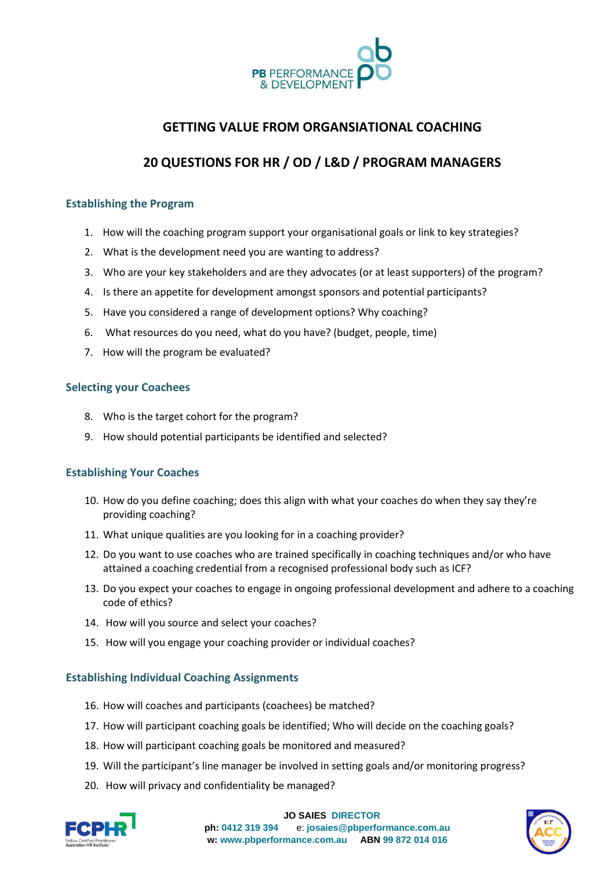

## **GETTING VALUE FROM ORGANSIATIONAL COACHING**

# **20 QUESTIONS FOR HR / OD / L&D / PROGRAM MANAGERS**

#### **Establishing the Program**

- 1. How will the coaching program support your organisational goals or link to key strategies?
- 2. What is the development need you are wanting to address?
- 3. Who are your key stakeholders and are they advocates (or at least supporters) of the program?
- 4. Is there an appetite for development amongst sponsors and potential participants?
- 5. Have you considered a range of development options? Why coaching?
- 6. What resources do you need, what do you have? (budget, people, time)
- 7. How will the program be evaluated?

#### **Selecting your Coachees**

- 8. Who is the target cohort for the program?
- 9. How should potential participants be identified and selected?

### **Establishing Your Coaches**

- 10. How do you define coaching; does this align with what your coaches do when they say they're providing coaching?
- 11. What unique qualities are you looking for in a coaching provider?
- 12. Do you want to use coaches who are trained specifically in coaching techniques and/or who have attained a coaching credential from a recognised professional body such as ICF?
- 13. Do you expect your coaches to engage in ongoing professional development and adhere to a coaching code of ethics?
- 14. How will you source and select your coaches?
- 15. How will you engage your coaching provider or individual coaches?

### **Establishing Individual Coaching Assignments**

- 16. How will coaches and participants (coachees) be matched?
- 17. How will participant coaching goals be identified; Who will decide on the coaching goals?
- 18. How will participant coaching goals be monitored and measured?
- 19. Will the participant's line manager be involved in setting goals and/or monitoring progress?
- 20. How will privacy and confidentiality be managed?



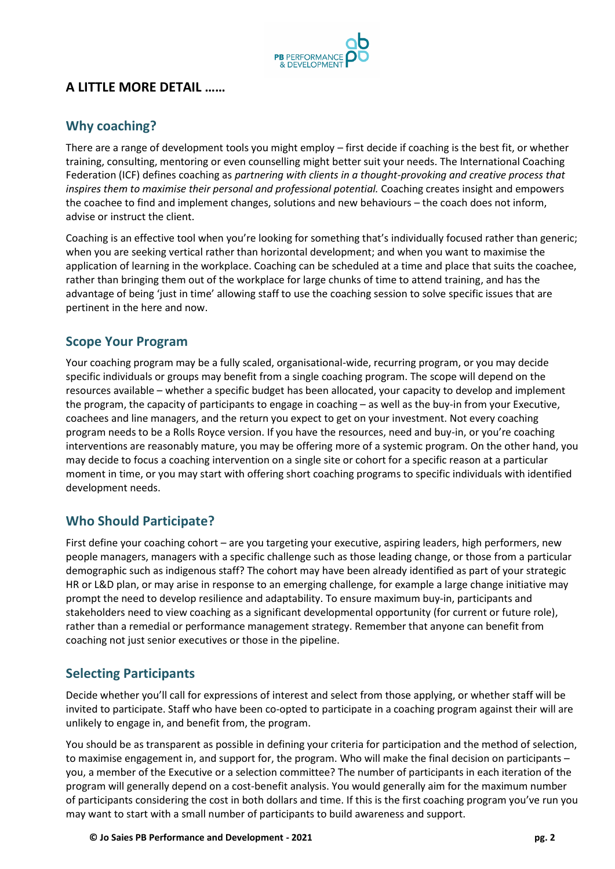

# **A LITTLE MORE DETAIL ……**

# **Why coaching?**

There are a range of development tools you might employ – first decide if coaching is the best fit, or whether training, consulting, mentoring or even counselling might better suit your needs. The International Coaching Federation (ICF) defines coaching as *partnering with clients in a thought-provoking and creative process that inspires them to maximise their personal and professional potential.* Coaching creates insight and empowers the coachee to find and implement changes, solutions and new behaviours – the coach does not inform, advise or instruct the client.

Coaching is an effective tool when you're looking for something that's individually focused rather than generic; when you are seeking vertical rather than horizontal development; and when you want to maximise the application of learning in the workplace. Coaching can be scheduled at a time and place that suits the coachee, rather than bringing them out of the workplace for large chunks of time to attend training, and has the advantage of being 'just in time' allowing staff to use the coaching session to solve specific issues that are pertinent in the here and now.

## **Scope Your Program**

Your coaching program may be a fully scaled, organisational-wide, recurring program, or you may decide specific individuals or groups may benefit from a single coaching program. The scope will depend on the resources available – whether a specific budget has been allocated, your capacity to develop and implement the program, the capacity of participants to engage in coaching – as well as the buy-in from your Executive, coachees and line managers, and the return you expect to get on your investment. Not every coaching program needs to be a Rolls Royce version. If you have the resources, need and buy-in, or you're coaching interventions are reasonably mature, you may be offering more of a systemic program. On the other hand, you may decide to focus a coaching intervention on a single site or cohort for a specific reason at a particular moment in time, or you may start with offering short coaching programs to specific individuals with identified development needs.

## **Who Should Participate?**

First define your coaching cohort – are you targeting your executive, aspiring leaders, high performers, new people managers, managers with a specific challenge such as those leading change, or those from a particular demographic such as indigenous staff? The cohort may have been already identified as part of your strategic HR or L&D plan, or may arise in response to an emerging challenge, for example a large change initiative may prompt the need to develop resilience and adaptability. To ensure maximum buy-in, participants and stakeholders need to view coaching as a significant developmental opportunity (for current or future role), rather than a remedial or performance management strategy. Remember that anyone can benefit from coaching not just senior executives or those in the pipeline.

# **Selecting Participants**

Decide whether you'll call for expressions of interest and select from those applying, or whether staff will be invited to participate. Staff who have been co-opted to participate in a coaching program against their will are unlikely to engage in, and benefit from, the program.

You should be as transparent as possible in defining your criteria for participation and the method of selection, to maximise engagement in, and support for, the program. Who will make the final decision on participants – you, a member of the Executive or a selection committee? The number of participants in each iteration of the program will generally depend on a cost-benefit analysis. You would generally aim for the maximum number of participants considering the cost in both dollars and time. If this is the first coaching program you've run you may want to start with a small number of participants to build awareness and support.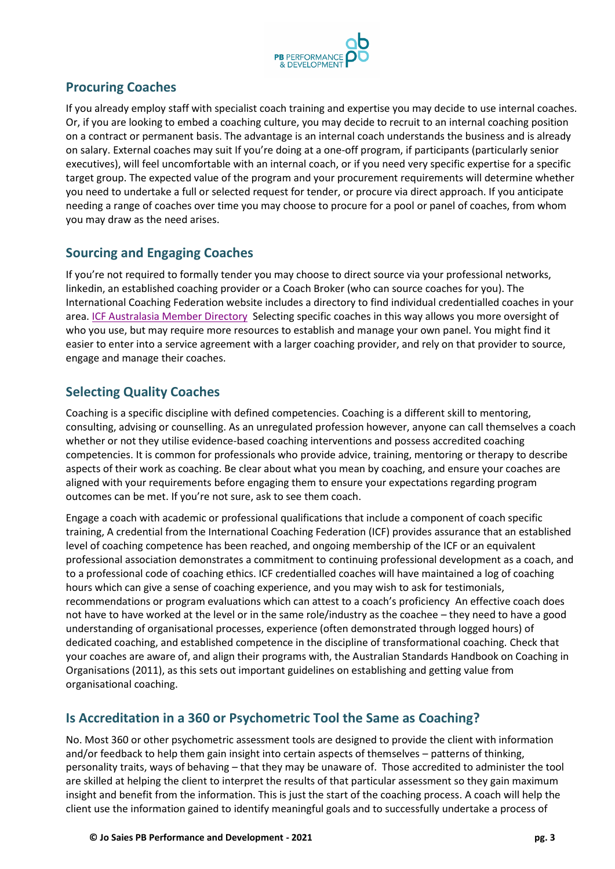

## **Procuring Coaches**

If you already employ staff with specialist coach training and expertise you may decide to use internal coaches. Or, if you are looking to embed a coaching culture, you may decide to recruit to an internal coaching position on a contract or permanent basis. The advantage is an internal coach understands the business and is already on salary. External coaches may suit If you're doing at a one-off program, if participants (particularly senior executives), will feel uncomfortable with an internal coach, or if you need very specific expertise for a specific target group. The expected value of the program and your procurement requirements will determine whether you need to undertake a full or selected request for tender, or procure via direct approach. If you anticipate needing a range of coaches over time you may choose to procure for a pool or panel of coaches, from whom you may draw as the need arises.

# **Sourcing and Engaging Coaches**

If you're not required to formally tender you may choose to direct source via your professional networks, linkedin, an established coaching provider or a Coach Broker (who can source coaches for you). The International Coaching Federation website includes a directory to find individual credentialled coaches in your area. [ICF Australasia Member Directory](https://apps.coachfederation.org/eweb/CCFDynamicPage.aspx?webcode=ccfsearch&site=icfapp) Selecting specific coaches in this way allows you more oversight of who you use, but may require more resources to establish and manage your own panel. You might find it easier to enter into a service agreement with a larger coaching provider, and rely on that provider to source, engage and manage their coaches.

# **Selecting Quality Coaches**

Coaching is a specific discipline with defined competencies. Coaching is a different skill to mentoring, consulting, advising or counselling. As an unregulated profession however, anyone can call themselves a coach whether or not they utilise evidence-based coaching interventions and possess accredited coaching competencies. It is common for professionals who provide advice, training, mentoring or therapy to describe aspects of their work as coaching. Be clear about what you mean by coaching, and ensure your coaches are aligned with your requirements before engaging them to ensure your expectations regarding program outcomes can be met. If you're not sure, ask to see them coach.

Engage a coach with academic or professional qualifications that include a component of coach specific training, A credential from the International Coaching Federation (ICF) provides assurance that an established level of coaching competence has been reached, and ongoing membership of the ICF or an equivalent professional association demonstrates a commitment to continuing professional development as a coach, and to a professional code of coaching ethics. ICF credentialled coaches will have maintained a log of coaching hours which can give a sense of coaching experience, and you may wish to ask for testimonials, recommendations or program evaluations which can attest to a coach's proficiency An effective coach does not have to have worked at the level or in the same role/industry as the coachee – they need to have a good understanding of organisational processes, experience (often demonstrated through logged hours) of dedicated coaching, and established competence in the discipline of transformational coaching. Check that your coaches are aware of, and align their programs with, the Australian Standards Handbook on Coaching in Organisations (2011), as this sets out important guidelines on establishing and getting value from organisational coaching.

# **Is Accreditation in a 360 or Psychometric Tool the Same as Coaching?**

No. Most 360 or other psychometric assessment tools are designed to provide the client with information and/or feedback to help them gain insight into certain aspects of themselves – patterns of thinking, personality traits, ways of behaving – that they may be unaware of. Those accredited to administer the tool are skilled at helping the client to interpret the results of that particular assessment so they gain maximum insight and benefit from the information. This is just the start of the coaching process. A coach will help the client use the information gained to identify meaningful goals and to successfully undertake a process of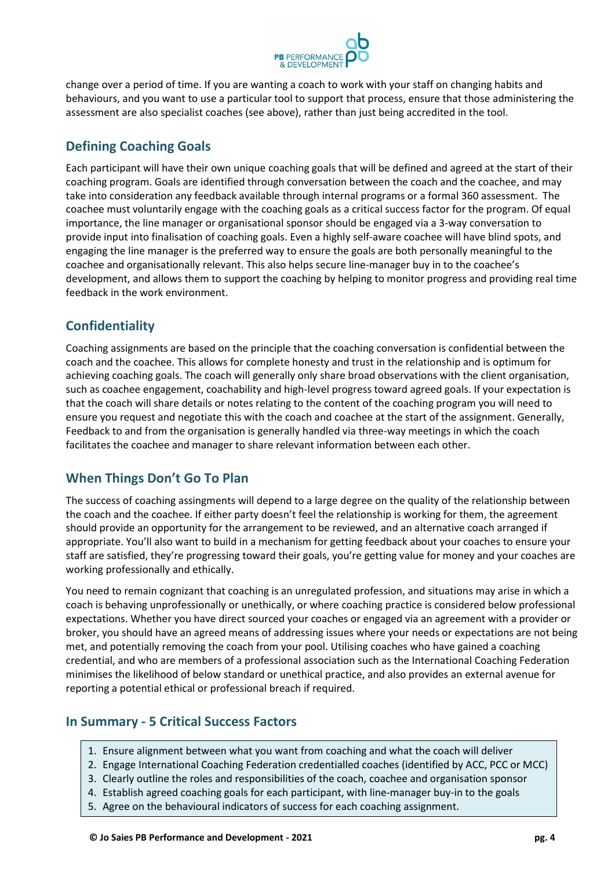

change over a period of time. If you are wanting a coach to work with your staff on changing habits and behaviours, and you want to use a particular tool to support that process, ensure that those administering the assessment are also specialist coaches (see above), rather than just being accredited in the tool.

# **Defining Coaching Goals**

Each participant will have their own unique coaching goals that will be defined and agreed at the start of their coaching program. Goals are identified through conversation between the coach and the coachee, and may take into consideration any feedback available through internal programs or a formal 360 assessment. The coachee must voluntarily engage with the coaching goals as a critical success factor for the program. Of equal importance, the line manager or organisational sponsor should be engaged via a 3-way conversation to provide input into finalisation of coaching goals. Even a highly self-aware coachee will have blind spots, and engaging the line manager is the preferred way to ensure the goals are both personally meaningful to the coachee and organisationally relevant. This also helps secure line-manager buy in to the coachee's development, and allows them to support the coaching by helping to monitor progress and providing real time feedback in the work environment.

# **Confidentiality**

Coaching assignments are based on the principle that the coaching conversation is confidential between the coach and the coachee. This allows for complete honesty and trust in the relationship and is optimum for achieving coaching goals. The coach will generally only share broad observations with the client organisation, such as coachee engagement, coachability and high-level progress toward agreed goals. If your expectation is that the coach will share details or notes relating to the content of the coaching program you will need to ensure you request and negotiate this with the coach and coachee at the start of the assignment. Generally, Feedback to and from the organisation is generally handled via three-way meetings in which the coach facilitates the coachee and manager to share relevant information between each other.

# **When Things Don't Go To Plan**

The success of coaching assingments will depend to a large degree on the quality of the relationship between the coach and the coachee. If either party doesn't feel the relationship is working for them, the agreement should provide an opportunity for the arrangement to be reviewed, and an alternative coach arranged if appropriate. You'll also want to build in a mechanism for getting feedback about your coaches to ensure your staff are satisfied, they're progressing toward their goals, you're getting value for money and your coaches are working professionally and ethically.

You need to remain cognizant that coaching is an unregulated profession, and situations may arise in which a coach is behaving unprofessionally or unethically, or where coaching practice is considered below professional expectations. Whether you have direct sourced your coaches or engaged via an agreement with a provider or broker, you should have an agreed means of addressing issues where your needs or expectations are not being met, and potentially removing the coach from your pool. Utilising coaches who have gained a coaching credential, and who are members of a professional association such as the International Coaching Federation minimises the likelihood of below standard or unethical practice, and also provides an external avenue for reporting a potential ethical or professional breach if required.

# **In Summary - 5 Critical Success Factors**

- 1. Ensure alignment between what you want from coaching and what the coach will deliver
- 2. Engage International Coaching Federation credentialled coaches (identified by ACC, PCC or MCC)
- 3. Clearly outline the roles and responsibilities of the coach, coachee and organisation sponsor
- 4. Establish agreed coaching goals for each participant, with line-manager buy-in to the goals
- 5. Agree on the behavioural indicators of success for each coaching assignment.